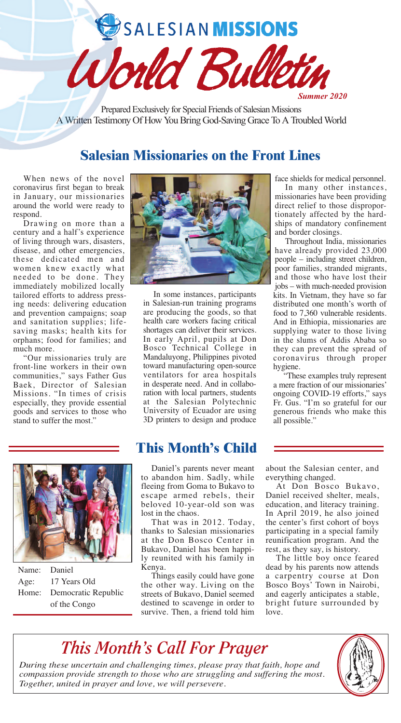SALESIAN MISSIONS



Prepared Exclusively for Special Friends of Salesian Missions A Written Testimony Of How You Bring God-Saving Grace To A Troubled World

# **Salesian Missionaries on the Front Lines**

When news of the novel coronavirus first began to break in January, our missionaries around the world were ready to respond.

Drawing on more than a century and a half's experience of living through wars, disasters, disease, and other emergencies, these dedicated men and women knew exactly what needed to be done. They immediately mobilized locally tailored efforts to address pressing needs: delivering education and prevention campaigns; soap and sanitation supplies; lifesaving masks; health kits for orphans; food for families; and much more.

"Our missionaries truly are front-line workers in their own communities," says Father Gus Baek, Director of Salesian Missions. "In times of crisis especially, they provide essential goods and services to those who stand to suffer the most."



In some instances, participants in Salesian-run training programs are producing the goods, so that health care workers facing critical shortages can deliver their services. In early April, pupils at Don Bosco Technical College in Mandaluyong, Philippines pivoted toward manufacturing open-source ventilators for area hospitals in desperate need. And in collaboration with local partners, students at the Salesian Polytechnic University of Ecuador are using 3D printers to design and produce

Name: Daniel Age: 17 Years Old Home: Democratic Republic of the Congo

## **This Month's Child**

Daniel's parents never meant to abandon him. Sadly, while fleeing from Goma to Bukavo to escape armed rebels, their beloved 10-year-old son was lost in the chaos.

That was in 2012. Today, thanks to Salesian missionaries at the Don Bosco Center in Bukavo, Daniel has been happily reunited with his family in Kenya.

Things easily could have gone the other way. Living on the streets of Bukavo, Daniel seemed destined to scavenge in order to survive. Then, a friend told him

face shields for medical personnel.

In many other instances, missionaries have been providing direct relief to those disproportionately affected by the hardships of mandatory confinement and border closings.

Throughout India, missionaries have already provided 23,000 people – including street children, poor families, stranded migrants, and those who have lost their jobs – with much-needed provision kits. In Vietnam, they have so far distributed one month's worth of food to 7,360 vulnerable residents. And in Ethiopia, missionaries are supplying water to those living in the slums of Addis Ababa so they can prevent the spread of coronavirus through proper hygiene.

"These examples truly represent a mere fraction of our missionaries' ongoing COVID-19 efforts," says Fr. Gus. "I'm so grateful for our generous friends who make this all possible."

about the Salesian center, and everything changed.

At Don Bosco Bukavo, Daniel received shelter, meals, education, and literacy training. In April 2019, he also joined the center's first cohort of boys participating in a special family reunification program. And the rest, as they say, is history.

The little boy once feared dead by his parents now attends a carpentry course at Don Bosco Boys' Town in Nairobi, and eagerly anticipates a stable, bright future surrounded by love.



*During these uncertain and challenging times, please pray that faith, hope and compassion provide strength to those who are struggling and suffering the most. Together, united in prayer and love, we will persevere.*